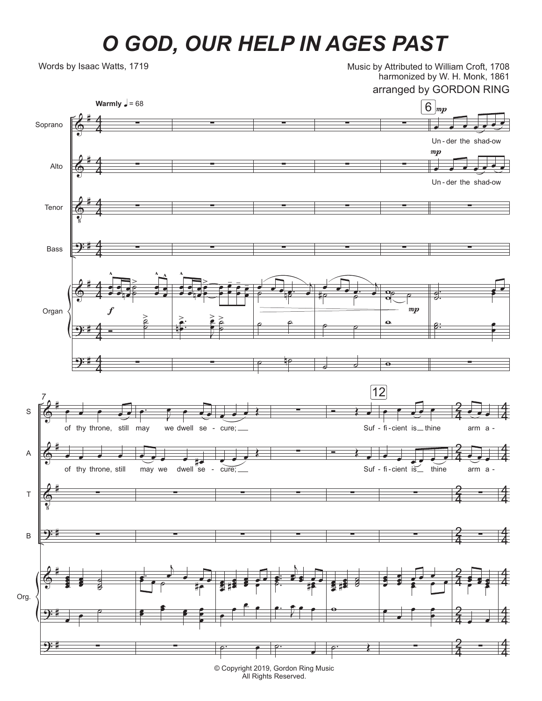## *O GOD, OUR HELP IN AGES PAST*

Words by Isaac Watts, 1719

Music by Attributed to William Croft, 1708 harmonized by W. H. Monk, 1861

arranged by GORDON RING



© Copyright 2019, Gordon Ring Music All Rights Reserved.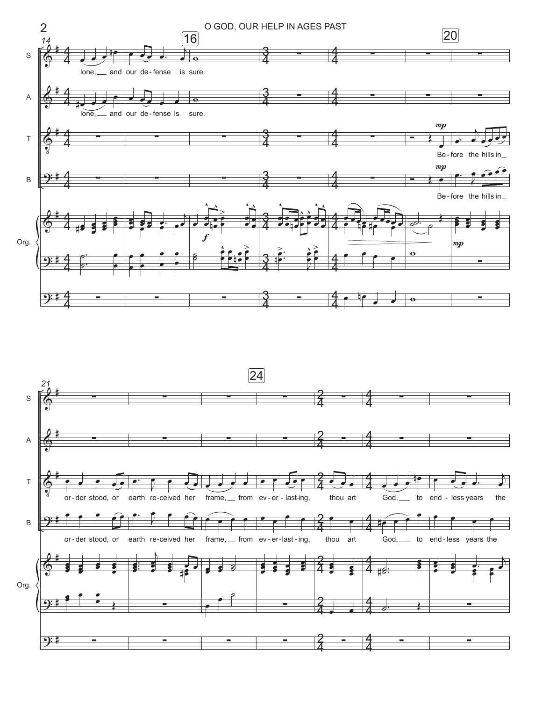

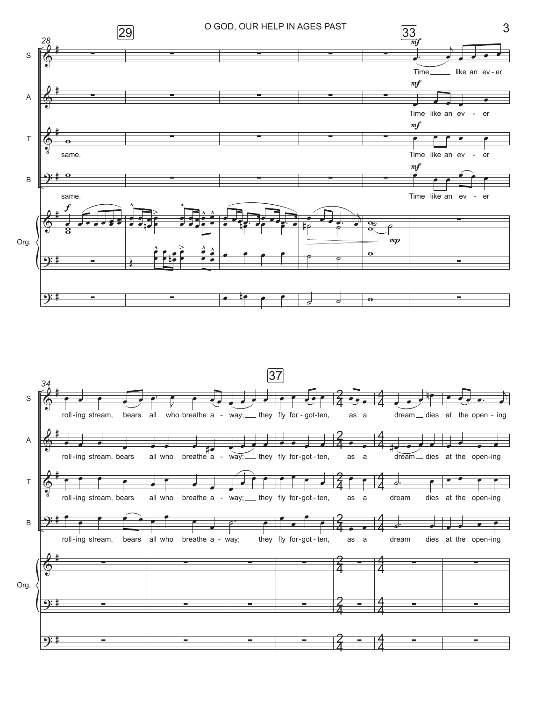

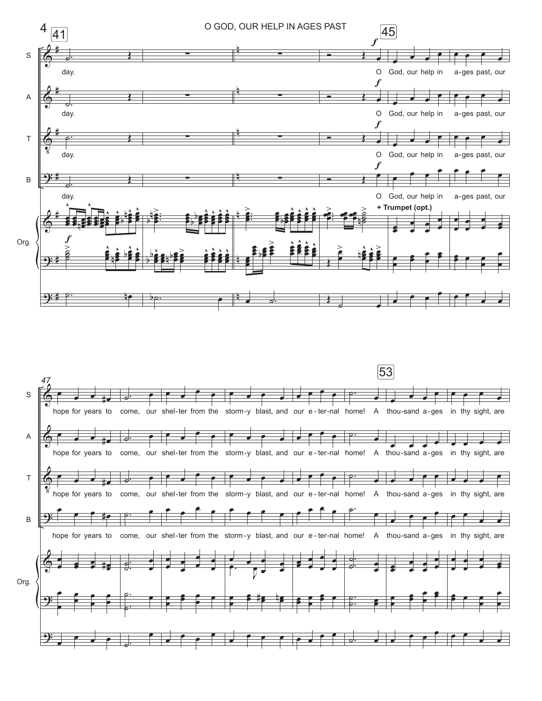